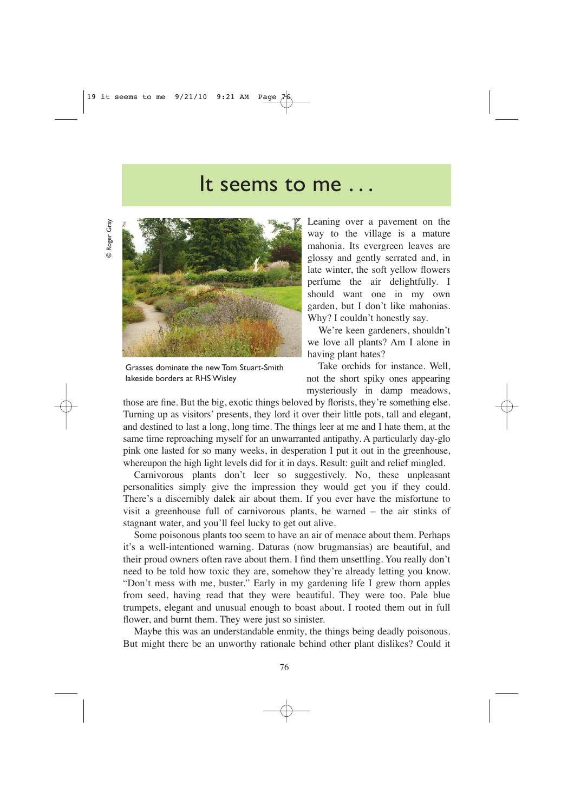## It seems to me . . .

© Roger Gray © Roger Gray



Grasses dominate the new Tom Stuart-Smith lakeside borders at RHS Wisley

Leaning over a pavement on the way to the village is a mature mahonia. Its evergreen leaves are glossy and gently serrated and, in late winter, the soft yellow flowers perfume the air delightfully. I should want one in my own garden, but I don't like mahonias. Why? I couldn't honestly say.

We're keen gardeners, shouldn't we love all plants? Am I alone in having plant hates?

Take orchids for instance. Well, not the short spiky ones appearing mysteriously in damp meadows,

those are fine. But the big, exotic things beloved by florists, they're something else. Turning up as visitors' presents, they lord it over their little pots, tall and elegant, and destined to last a long, long time. The things leer at me and I hate them, at the same time reproaching myself for an unwarranted antipathy. A particularly day-glo pink one lasted for so many weeks, in desperation I put it out in the greenhouse, whereupon the high light levels did for it in days. Result: guilt and relief mingled.

Carnivorous plants don't leer so suggestively. No, these unpleasant personalities simply give the impression they would get you if they could. There's a discernibly dalek air about them. If you ever have the misfortune to visit a greenhouse full of carnivorous plants, be warned – the air stinks of stagnant water, and you'll feel lucky to get out alive.

Some poisonous plants too seem to have an air of menace about them. Perhaps it's a well-intentioned warning. Daturas (now brugmansias) are beautiful, and their proud owners often rave about them. I find them unsettling. You really don't need to be told how toxic they are, somehow they're already letting you know. "Don't mess with me, buster." Early in my gardening life I grew thorn apples from seed, having read that they were beautiful. They were too. Pale blue trumpets, elegant and unusual enough to boast about. I rooted them out in full flower, and burnt them. They were just so sinister.

Maybe this was an understandable enmity, the things being deadly poisonous. But might there be an unworthy rationale behind other plant dislikes? Could it